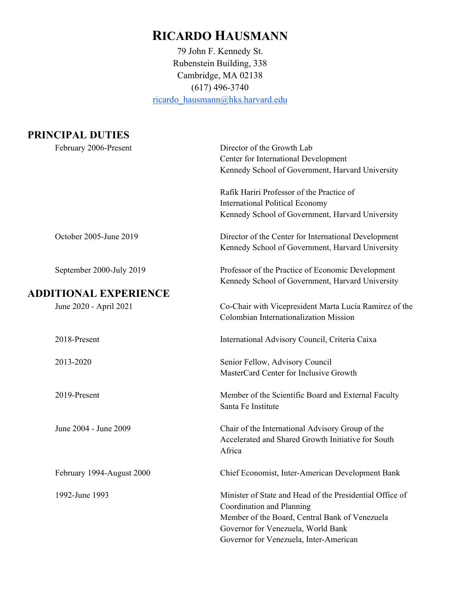# **RICARDO HAUSMANN**

79 John F. Kennedy St. Rubenstein Building, 338 Cambridge, MA 02138 (617) 496-3740 [ricardo\\_hausmann@hks.harvard.edu](mailto:ricardo_hausmann@hks.harvard.edu)

# **PRINCIPAL DUTIES**

|  | February 2006-Present        | Director of the Growth Lab                               |
|--|------------------------------|----------------------------------------------------------|
|  |                              | Center for International Development                     |
|  |                              | Kennedy School of Government, Harvard University         |
|  |                              | Rafik Hariri Professor of the Practice of                |
|  |                              | <b>International Political Economy</b>                   |
|  |                              | Kennedy School of Government, Harvard University         |
|  | October 2005-June 2019       | Director of the Center for International Development     |
|  |                              | Kennedy School of Government, Harvard University         |
|  | September 2000-July 2019     | Professor of the Practice of Economic Development        |
|  |                              | Kennedy School of Government, Harvard University         |
|  | <b>ADDITIONAL EXPERIENCE</b> |                                                          |
|  | June 2020 - April 2021       | Co-Chair with Vicepresident Marta Lucía Ramirez of the   |
|  |                              | Colombian Internationalization Mission                   |
|  |                              |                                                          |
|  | 2018-Present                 | International Advisory Council, Criteria Caixa           |
|  | 2013-2020                    | Senior Fellow, Advisory Council                          |
|  |                              | MasterCard Center for Inclusive Growth                   |
|  |                              |                                                          |
|  | 2019-Present                 | Member of the Scientific Board and External Faculty      |
|  |                              | Santa Fe Institute                                       |
|  |                              |                                                          |
|  | June 2004 - June 2009        | Chair of the International Advisory Group of the         |
|  |                              | Accelerated and Shared Growth Initiative for South       |
|  |                              | Africa                                                   |
|  |                              |                                                          |
|  | February 1994-August 2000    | Chief Economist, Inter-American Development Bank         |
|  | 1992-June 1993               | Minister of State and Head of the Presidential Office of |
|  |                              | Coordination and Planning                                |
|  |                              | Member of the Board, Central Bank of Venezuela           |
|  |                              | Governor for Venezuela, World Bank                       |
|  |                              | Governor for Venezuela, Inter-American                   |
|  |                              |                                                          |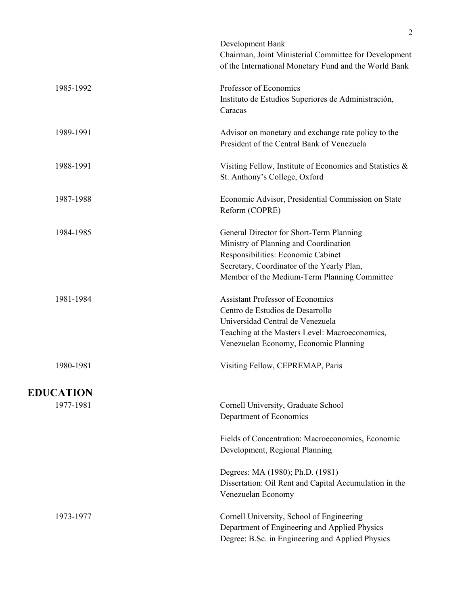|                  | Development Bank<br>Chairman, Joint Ministerial Committee for Development<br>of the International Monetary Fund and the World Bank                                                                                    |
|------------------|-----------------------------------------------------------------------------------------------------------------------------------------------------------------------------------------------------------------------|
| 1985-1992        | Professor of Economics<br>Instituto de Estudios Superiores de Administración,<br>Caracas                                                                                                                              |
| 1989-1991        | Advisor on monetary and exchange rate policy to the<br>President of the Central Bank of Venezuela                                                                                                                     |
| 1988-1991        | Visiting Fellow, Institute of Economics and Statistics &<br>St. Anthony's College, Oxford                                                                                                                             |
| 1987-1988        | Economic Advisor, Presidential Commission on State<br>Reform (COPRE)                                                                                                                                                  |
| 1984-1985        | General Director for Short-Term Planning<br>Ministry of Planning and Coordination<br>Responsibilities: Economic Cabinet<br>Secretary, Coordinator of the Yearly Plan,<br>Member of the Medium-Term Planning Committee |
| 1981-1984        | <b>Assistant Professor of Economics</b><br>Centro de Estudios de Desarrollo<br>Universidad Central de Venezuela<br>Teaching at the Masters Level: Macroeconomics,<br>Venezuelan Economy, Economic Planning            |
| 1980-1981        | Visiting Fellow, CEPREMAP, Paris                                                                                                                                                                                      |
| <b>EDUCATION</b> |                                                                                                                                                                                                                       |
| 1977-1981        | Cornell University, Graduate School<br>Department of Economics                                                                                                                                                        |
|                  | Fields of Concentration: Macroeconomics, Economic<br>Development, Regional Planning                                                                                                                                   |
|                  | Degrees: MA (1980); Ph.D. (1981)<br>Dissertation: Oil Rent and Capital Accumulation in the<br>Venezuelan Economy                                                                                                      |
| 1973-1977        | Cornell University, School of Engineering<br>Department of Engineering and Applied Physics<br>Degree: B.Sc. in Engineering and Applied Physics                                                                        |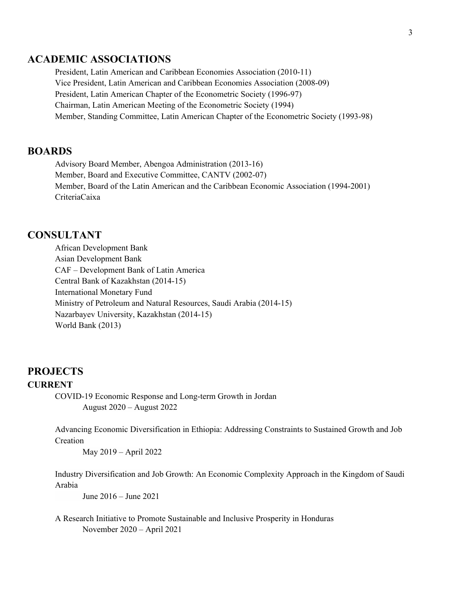# **ACADEMIC ASSOCIATIONS**

President, Latin American and Caribbean Economies Association (2010-11) Vice President, Latin American and Caribbean Economies Association (2008-09) President, Latin American Chapter of the Econometric Society (1996-97) Chairman, Latin American Meeting of the Econometric Society (1994) Member, Standing Committee, Latin American Chapter of the Econometric Society (1993-98)

### **BOARDS**

Advisory Board Member, Abengoa Administration (2013-16) Member, Board and Executive Committee, CANTV (2002-07) Member, Board of the Latin American and the Caribbean Economic Association (1994-2001) CriteriaCaixa

#### **CONSULTANT**

African Development Bank Asian Development Bank CAF – Development Bank of Latin America Central Bank of Kazakhstan (2014-15) International Monetary Fund Ministry of Petroleum and Natural Resources, Saudi Arabia (2014-15) Nazarbayev University, Kazakhstan (2014-15) World Bank (2013)

## **PROJECTS CURRENT**

COVID-19 Economic Response and Long-term Growth in Jordan August 2020 – August 2022

Advancing Economic Diversification in Ethiopia: Addressing Constraints to Sustained Growth and Job Creation

May 2019 – April 2022

Industry Diversification and Job Growth: An Economic Complexity Approach in the Kingdom of Saudi Arabia

June 2016 – June 2021

A Research Initiative to Promote Sustainable and Inclusive Prosperity in Honduras November 2020 – April 2021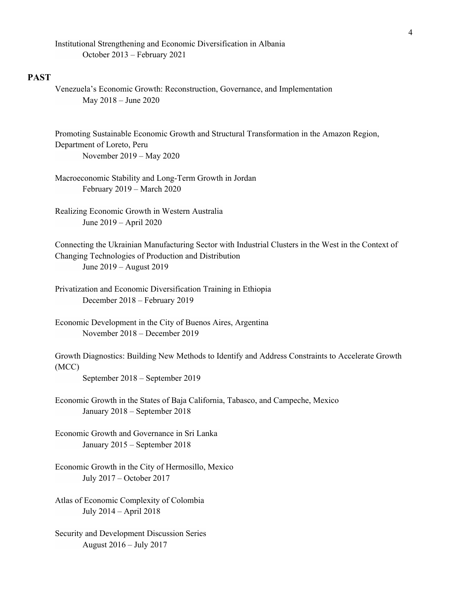Institutional Strengthening and Economic Diversification in Albania October 2013 – February 2021

#### **PAST**

Venezuela's Economic Growth: Reconstruction, Governance, and Implementation May 2018 – June 2020

Promoting Sustainable Economic Growth and Structural Transformation in the Amazon Region, Department of Loreto, Peru November 2019 – May 2020

Macroeconomic Stability and Long-Term Growth in Jordan February 2019 – March 2020

Realizing Economic Growth in Western Australia June 2019 – April 2020

Connecting the Ukrainian Manufacturing Sector with Industrial Clusters in the West in the Context of Changing Technologies of Production and Distribution June 2019 – August 2019

Privatization and Economic Diversification Training in Ethiopia December 2018 – February 2019

Economic Development in the City of Buenos Aires, Argentina November 2018 – December 2019

Growth Diagnostics: Building New Methods to Identify and Address Constraints to Accelerate Growth (MCC)

September 2018 – September 2019

Economic Growth in the States of Baja California, Tabasco, and Campeche, Mexico January 2018 – September 2018

Economic Growth and Governance in Sri Lanka January 2015 – September 2018

Economic Growth in the City of Hermosillo, Mexico July 2017 – October 2017

Atlas of Economic Complexity of Colombia July 2014 – April 2018

Security and Development Discussion Series August 2016 – July 2017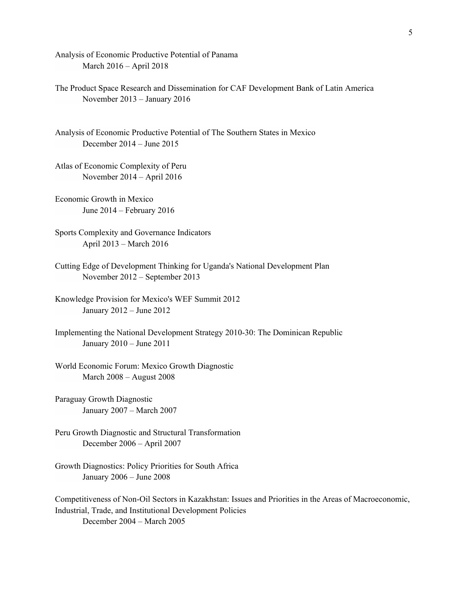Analysis of Economic Productive Potential of Panama March 2016 – April 2018

The Product Space Research and Dissemination for CAF Development Bank of Latin America November 2013 – January 2016

Analysis of Economic Productive Potential of The Southern States in Mexico December 2014 – June 2015

Atlas of Economic Complexity of Peru November 2014 – April 2016

Economic Growth in Mexico June 2014 – February 2016

- Sports Complexity and Governance Indicators April 2013 – March 2016
- Cutting Edge of Development Thinking for Uganda's National Development Plan November 2012 – September 2013

Knowledge Provision for Mexico's WEF Summit 2012 January 2012 – June 2012

- Implementing the National Development Strategy 2010-30: The Dominican Republic January 2010 – June 2011
- World Economic Forum: Mexico Growth Diagnostic March 2008 – August 2008
- Paraguay Growth Diagnostic January 2007 – March 2007
- Peru Growth Diagnostic and Structural Transformation December 2006 – April 2007
- Growth Diagnostics: Policy Priorities for South Africa January 2006 – June 2008

Competitiveness of Non-Oil Sectors in Kazakhstan: Issues and Priorities in the Areas of Macroeconomic, Industrial, Trade, and Institutional Development Policies December 2004 – March 2005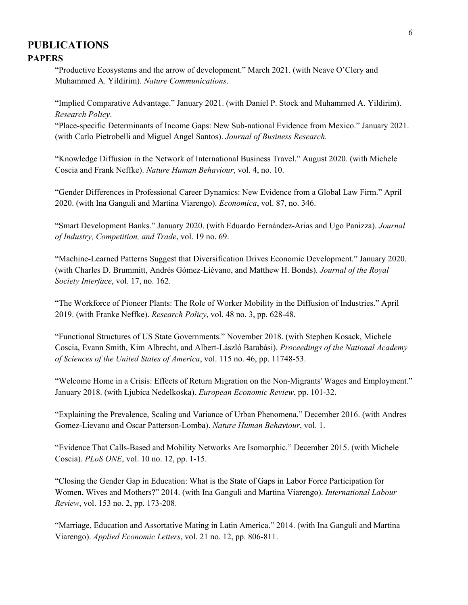# **PUBLICATIONS PAPERS**

"Productive Ecosystems and the arrow of development." March 2021. (with Neave O'Clery and Muhammed A. Yildirim). *Nature Communications*.

"Implied Comparative Advantage." January 2021. (with Daniel P. Stock and Muhammed A. Yildirim). *Research Policy*.

"Place-specific Determinants of Income Gaps: New Sub-national Evidence from Mexico." January 2021. (with Carlo Pietrobelli and Miguel Angel Santos). *Journal of Business Research.*

"Knowledge Diffusion in the Network of International Business Travel." August 2020. (with Michele Coscia and Frank Neffke). *Nature Human Behaviour*, vol. 4, no. 10.

"Gender Differences in Professional Career Dynamics: New Evidence from a Global Law Firm." April 2020. (with Ina Ganguli and Martina Viarengo). *Economica*, vol. 87, no. 346.

"Smart Development Banks." January 2020. (with Eduardo Fernández-Arias and Ugo Panizza). *Journal of Industry, Competition, and Trade*, vol. 19 no. 69.

"Machine-Learned Patterns Suggest that Diversification Drives Economic Development." January 2020. (with Charles D. Brummitt, Andrés Gómez-Liévano, and Matthew H. Bonds). *Journal of the Royal Society Interface*, vol. 17, no. 162.

"The Workforce of Pioneer Plants: The Role of Worker Mobility in the Diffusion of Industries." April 2019. (with Franke Neffke). *Research Policy*, vol. 48 no. 3, pp. 628-48.

"Functional Structures of US State Governments." November 2018. (with Stephen Kosack, Michele Coscia, Evann Smith, Kim Albrecht, and Albert-László Barabási). *Proceedings of the National Academy of Sciences of the United States of America*, vol. 115 no. 46, pp. 11748-53.

"Welcome Home in a Crisis: Effects of Return Migration on the Non-Migrants' Wages and Employment." January 2018. (with Ljubica Nedelkoska). *European Economic Review*, pp. 101-32.

"Explaining the Prevalence, Scaling and Variance of Urban Phenomena." December 2016. (with Andres Gomez-Lievano and Oscar Patterson-Lomba). *Nature Human Behaviour*, vol. 1.

"Evidence That Calls-Based and Mobility Networks Are Isomorphic." December 2015. (with Michele Coscia). *PLoS ONE*, vol. 10 no. 12, pp. 1-15.

"Closing the Gender Gap in Education: What is the State of Gaps in Labor Force Participation for Women, Wives and Mothers?" 2014. (with Ina Ganguli and Martina Viarengo). *International Labour Review*, vol. 153 no. 2, pp. 173-208.

"Marriage, Education and Assortative Mating in Latin America." 2014. (with Ina Ganguli and Martina Viarengo). *Applied Economic Letters*, vol. 21 no. 12, pp. 806-811.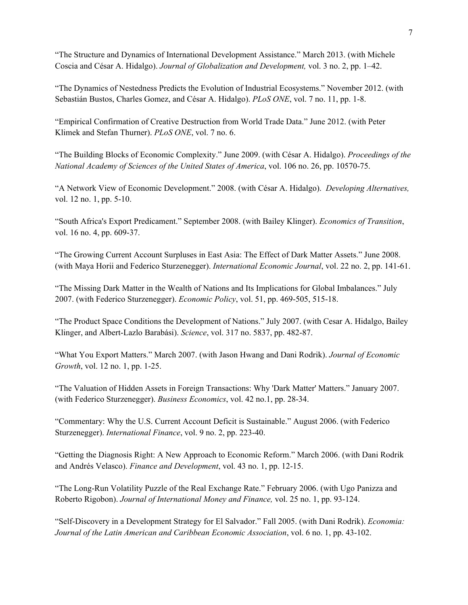"The Structure and Dynamics of International Development Assistance." March 2013. (with Michele Coscia and César A. Hidalgo). *Journal of Globalization and Development,* vol. 3 no. 2, pp. 1–42.

"The Dynamics of Nestedness Predicts the Evolution of Industrial Ecosystems." November 2012. (with Sebastián Bustos, Charles Gomez, and César A. Hidalgo). *PLoS ONE*, vol. 7 no. 11, pp. 1-8.

"Empirical Confirmation of Creative Destruction from World Trade Data." June 2012. (with Peter Klimek and Stefan Thurner). *PLoS ONE*, vol. 7 no. 6.

"The Building Blocks of Economic Complexity." June 2009. (with César A. Hidalgo). *Proceedings of the National Academy of Sciences of the United States of America*, vol. 106 no. 26, pp. 10570-75.

"A Network View of Economic Development." 2008. (with César A. Hidalgo). *Developing Alternatives,* vol. 12 no. 1, pp. 5-10.

"South Africa's Export Predicament." September 2008. (with Bailey Klinger). *Economics of Transition*, vol. 16 no. 4, pp. 609-37.

"The Growing Current Account Surpluses in East Asia: The Effect of Dark Matter Assets." June 2008. (with Maya Horii and Federico Sturzenegger). *International Economic Journal*, vol. 22 no. 2, pp. 141-61.

"The Missing Dark Matter in the Wealth of Nations and Its Implications for Global Imbalances." July 2007. (with Federico Sturzenegger). *Economic Policy*, vol. 51, pp. 469-505, 515-18.

"The Product Space Conditions the Development of Nations." July 2007. (with Cesar A. Hidalgo, Bailey Klinger, and Albert-Lazlo Barabási). *Science*, vol. 317 no. 5837, pp. 482-87.

"What You Export Matters." March 2007. (with Jason Hwang and Dani Rodrik). *Journal of Economic Growth*, vol. 12 no. 1, pp. 1-25.

"The Valuation of Hidden Assets in Foreign Transactions: Why 'Dark Matter' Matters." January 2007. (with Federico Sturzenegger). *Business Economics*, vol. 42 no.1, pp. 28-34.

"Commentary: Why the U.S. Current Account Deficit is Sustainable." August 2006. (with Federico Sturzenegger). *International Finance*, vol. 9 no. 2, pp. 223-40.

"Getting the Diagnosis Right: A New Approach to Economic Reform." March 2006. (with Dani Rodrik and Andrés Velasco). *Finance and Development*, vol. 43 no. 1, pp. 12-15.

"The Long-Run Volatility Puzzle of the Real Exchange Rate." February 2006. (with Ugo Panizza and Roberto Rigobon). *Journal of International Money and Finance,* vol. 25 no. 1, pp. 93-124.

"Self-Discovery in a Development Strategy for El Salvador." Fall 2005. (with Dani Rodrik). *Economia: Journal of the Latin American and Caribbean Economic Association*, vol. 6 no. 1, pp. 43-102.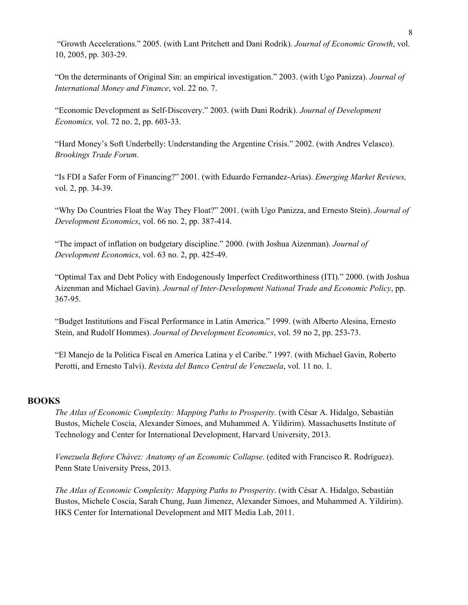"Growth Accelerations." 2005. (with Lant Pritchett and Dani Rodrik). *Journal of Economic Growth*, vol. 10, 2005, pp. 303-29.

"On the determinants of Original Sin: an empirical investigation." 2003. (with Ugo Panizza). *Journal of International Money and Finance*, vol. 22 no. 7.

"Economic Development as Self-Discovery." 2003. (with Dani Rodrik). *Journal of Development Economics,* vol. 72 no. 2, pp. 603-33.

"Hard Money's Soft Underbelly: Understanding the Argentine Crisis." 2002. (with Andres Velasco). *Brookings Trade Forum*.

"Is FDI a Safer Form of Financing?" 2001. (with Eduardo Fernandez-Arias). *Emerging Market Reviews,*  vol. 2, pp. 34-39.

"Why Do Countries Float the Way They Float?" 2001. (with Ugo Panizza, and Ernesto Stein). *Journal of Development Economics*, vol. 66 no. 2, pp. 387-414.

"The impact of inflation on budgetary discipline." 2000. (with Joshua Aizenman). *Journal of Development Economics*, vol. 63 no. 2, pp. 425-49.

"Optimal Tax and Debt Policy with Endogenously Imperfect Creditworthiness (ITI)." 2000. (with Joshua Aizenman and Michael Gavin). *Journal of Inter-Development National Trade and Economic Policy*, pp. 367-95.

"Budget Institutions and Fiscal Performance in Latin America." 1999. (with Alberto Alesina, Ernesto Stein, and Rudolf Hommes). *Journal of Development Economics*, vol. 59 no 2, pp. 253-73.

"El Manejo de la Politica Fiscal en America Latina y el Caribe." 1997. (with Michael Gavin, Roberto Perotti, and Ernesto Talvi). *Revista del Banco Central de Venezuela*, vol. 11 no. 1.

#### **BOOKS**

*The Atlas of Economic Complexity: Mapping Paths to Prosperity.* (with César A. Hidalgo, Sebastián Bustos, Michele Coscia, Alexander Simoes, and Muhammed A. Yildirim). Massachusetts Institute of Technology and Center for International Development, Harvard University, 2013.

*Venezuela Before Chávez: Anatomy of an Economic Collapse*. (edited with Francisco R. Rodríguez). Penn State University Press, 2013.

*The Atlas of Economic Complexity: Mapping Paths to Prosperity*. (with César A. Hidalgo, Sebastián Bustos, Michele Coscia, Sarah Chung, Juan Jimenez, Alexander Simoes, and Muhammed A. Yildirim). HKS Center for International Development and MIT Media Lab, 2011.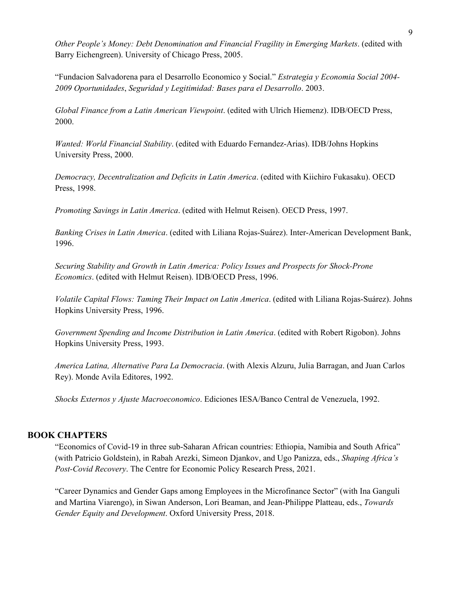*Other People's Money: Debt Denomination and Financial Fragility in Emerging Markets*. (edited with Barry Eichengreen). University of Chicago Press, 2005.

"Fundacion Salvadorena para el Desarrollo Economico y Social." *Estrategia y Economia Social 2004- 2009 Oportunidades*, *Seguridad y Legitimidad: Bases para el Desarrollo*. 2003.

*Global Finance from a Latin American Viewpoint*. (edited with Ulrich Hiemenz). IDB/OECD Press, 2000.

*Wanted: World Financial Stability*. (edited with Eduardo Fernandez-Arias). IDB/Johns Hopkins University Press, 2000.

*Democracy, Decentralization and Deficits in Latin America*. (edited with Kiichiro Fukasaku). OECD Press, 1998.

*Promoting Savings in Latin America*. (edited with Helmut Reisen). OECD Press, 1997.

*Banking Crises in Latin America*. (edited with Liliana Rojas-Suárez). Inter-American Development Bank, 1996.

*Securing Stability and Growth in Latin America: Policy Issues and Prospects for Shock-Prone Economics*. (edited with Helmut Reisen). IDB/OECD Press, 1996.

*Volatile Capital Flows: Taming Their Impact on Latin America*. (edited with Liliana Rojas-Suárez). Johns Hopkins University Press, 1996.

*Government Spending and Income Distribution in Latin America*. (edited with Robert Rigobon). Johns Hopkins University Press, 1993.

*America Latina, Alternative Para La Democracia*. (with Alexis Alzuru, Julia Barragan, and Juan Carlos Rey). Monde Avila Editores, 1992.

*Shocks Externos y Ajuste Macroeconomico*. Ediciones IESA/Banco Central de Venezuela, 1992.

#### **BOOK CHAPTERS**

"Economics of Covid-19 in three sub‑Saharan African countries: Ethiopia, Namibia and South Africa" (with Patricio Goldstein), in Rabah Arezki, Simeon Djankov, and Ugo Panizza, eds., *Shaping Africa's Post-Covid Recovery*. The Centre for Economic Policy Research Press, 2021.

"Career Dynamics and Gender Gaps among Employees in the Microfinance Sector" (with Ina Ganguli and Martina Viarengo), in Siwan Anderson, Lori Beaman, and Jean-Philippe Platteau, eds., *Towards Gender Equity and Development*. Oxford University Press, 2018.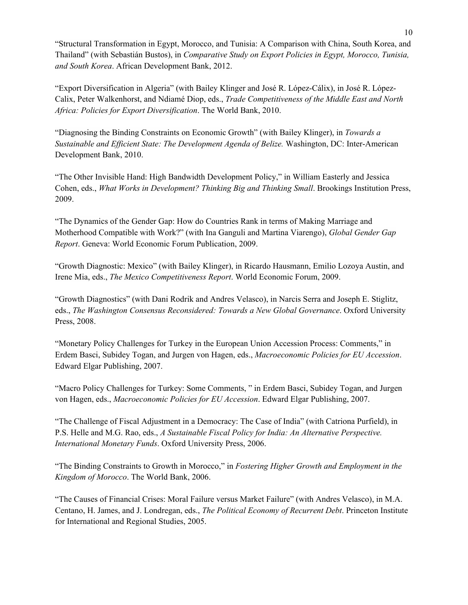"Structural Transformation in Egypt, Morocco, and Tunisia: A Comparison with China, South Korea, and Thailand" (with Sebastián Bustos), in *Comparative Study on Export Policies in Egypt, Morocco, Tunisia, and South Korea*. African Development Bank, 2012.

"Export Diversification in Algeria" (with Bailey Klinger and José R. López-Cálix), in José R. López-Calix, Peter Walkenhorst, and Ndiamé Diop, eds., *Trade Competitiveness of the Middle East and North Africa: Policies for Export Diversification*. The World Bank, 2010.

"Diagnosing the Binding Constraints on Economic Growth" (with Bailey Klinger), in *Towards a Sustainable and Efficient State: The Development Agenda of Belize.* Washington, DC: Inter-American Development Bank, 2010.

"The Other Invisible Hand: High Bandwidth Development Policy," in William Easterly and Jessica Cohen, eds., *What Works in Development? Thinking Big and Thinking Small*. Brookings Institution Press, 2009.

"The Dynamics of the Gender Gap: How do Countries Rank in terms of Making Marriage and Motherhood Compatible with Work?" (with Ina Ganguli and Martina Viarengo), *Global Gender Gap Report*. Geneva: World Economic Forum Publication, 2009.

"Growth Diagnostic: Mexico" (with Bailey Klinger), in Ricardo Hausmann, Emilio Lozoya Austin, and Irene Mia, eds., *The Mexico Competitiveness Report*. World Economic Forum, 2009.

"Growth Diagnostics" (with Dani Rodrik and Andres Velasco), in Narcis Serra and Joseph E. Stiglitz, eds., *The Washington Consensus Reconsidered: Towards a New Global Governance*. Oxford University Press, 2008.

"Monetary Policy Challenges for Turkey in the European Union Accession Process: Comments," in Erdem Basci, Subidey Togan, and Jurgen von Hagen, eds., *Macroeconomic Policies for EU Accession*. Edward Elgar Publishing, 2007.

"Macro Policy Challenges for Turkey: Some Comments, " in Erdem Basci, Subidey Togan, and Jurgen von Hagen, eds., *Macroeconomic Policies for EU Accession*. Edward Elgar Publishing, 2007.

"The Challenge of Fiscal Adjustment in a Democracy: The Case of India" (with Catriona Purfield), in P.S. Helle and M.G. Rao, eds., *A Sustainable Fiscal Policy for India: An Alternative Perspective. International Monetary Funds*. Oxford University Press, 2006.

"The Binding Constraints to Growth in Morocco," in *Fostering Higher Growth and Employment in the Kingdom of Morocco*. The World Bank, 2006.

"The Causes of Financial Crises: Moral Failure versus Market Failure" (with Andres Velasco), in M.A. Centano, H. James, and J. Londregan, eds., *The Political Economy of Recurrent Debt*. Princeton Institute for International and Regional Studies, 2005.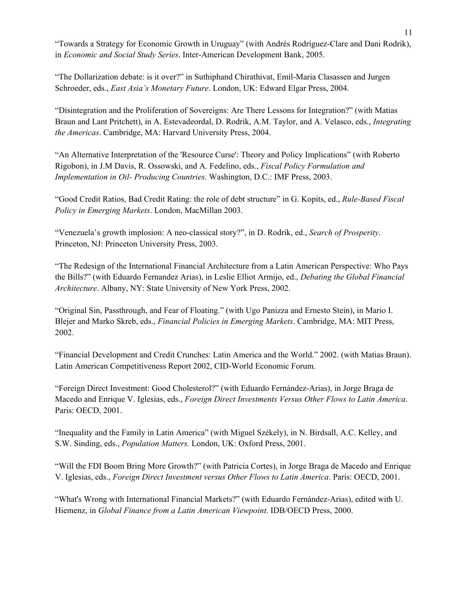"Towards a Strategy for Economic Growth in Uruguay" (with Andrés Rodríguez-Clare and Dani Rodrik), in *Economic and Social Study Series*. Inter-American Development Bank, 2005.

"The Dollarization debate: is it over?" in Suthiphand Chirathivat, Emil-Maria Clasassen and Jurgen Schroeder, eds., *East Asia's Monetary Future*. London, UK: Edward Elgar Press, 2004.

"Disintegration and the Proliferation of Sovereigns: Are There Lessons for Integration?" (with Matias Braun and Lant Pritchett), in A. Estevadeordal, D. Rodrik, A.M. Taylor, and A. Velasco, eds., *Integrating the Americas*. Cambridge, MA: Harvard University Press, 2004.

"An Alternative Interpretation of the 'Resource Curse': Theory and Policy Implications" (with Roberto Rigobon), in J.M Davis, R. Ossowski, and A. Fedelino, eds., *Fiscal Policy Formulation and Implementation in Oil- Producing Countries*. Washington, D.C.: IMF Press, 2003.

"Good Credit Ratios, Bad Credit Rating: the role of debt structure" in G. Kopits, ed., *Rule-Based Fiscal Policy in Emerging Markets*. London, MacMillan 2003.

"Venezuela's growth implosion: A neo-classical story?", in D. Rodrik, ed., *Search of Prosperity*. Princeton, NJ: Princeton University Press, 2003.

"The Redesign of the International Financial Architecture from a Latin American Perspective: Who Pays the Bills?" (with Eduardo Fernandez Arias), in Leslie Elliot Armijo, ed., *Debating the Global Financial Architecture*. Albany, NY: State University of New York Press, 2002.

"Original Sin, Passthrough, and Fear of Floating." (with Ugo Panizza and Ernesto Stein), in Mario I. Blejer and Marko Skreb, eds., *Financial Policies in Emerging Markets*. Cambridge, MA: MIT Press, 2002.

"Financial Development and Credit Crunches: Latin America and the World." 2002. (with Matias Braun). Latin American Competitiveness Report 2002, CID-World Economic Forum.

"Foreign Direct Investment: Good Cholesterol?" (with Eduardo Fernández-Arias), in Jorge Braga de Macedo and Enrique V. Iglesias, eds., *Foreign Direct Investments Versus Other Flows to Latin America*. Paris: OECD, 2001.

"Inequality and the Family in Latin America" (with Miguel Székely), in N. Birdsall, A.C. Kelley, and S.W. Sinding, eds., *Population Matters.* London, UK: Oxford Press, 2001.

"Will the FDI Boom Bring More Growth?" (with Patricia Cortes), in Jorge Braga de Macedo and Enrique V. Iglesias, eds., *Foreign Direct Investment versus Other Flows to Latin America*. Paris: OECD, 2001.

"What's Wrong with International Financial Markets?" (with Eduardo Fernández-Arias), edited with U. Hiemenz, in *Global Finance from a Latin American Viewpoint*. IDB/OECD Press, 2000.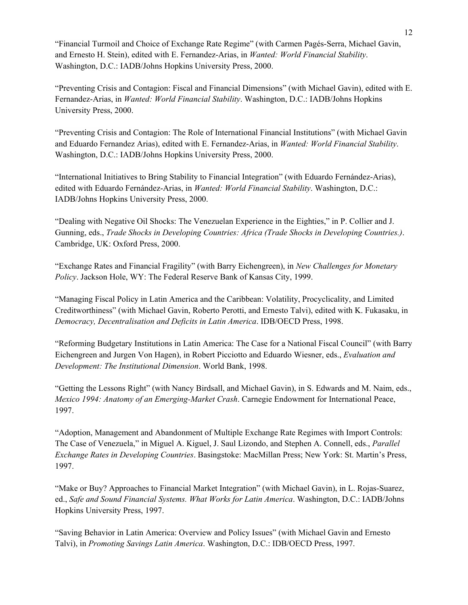"Financial Turmoil and Choice of Exchange Rate Regime" (with Carmen Pagés-Serra, Michael Gavin, and Ernesto H. Stein), edited with E. Fernandez-Arias, in *Wanted: World Financial Stability*. Washington, D.C.: IADB/Johns Hopkins University Press, 2000.

"Preventing Crisis and Contagion: Fiscal and Financial Dimensions" (with Michael Gavin), edited with E. Fernandez-Arias, in *Wanted: World Financial Stability*. Washington, D.C.: IADB/Johns Hopkins University Press, 2000.

"Preventing Crisis and Contagion: The Role of International Financial Institutions" (with Michael Gavin and Eduardo Fernandez Arias), edited with E. Fernandez-Arias, in *Wanted: World Financial Stability*. Washington, D.C.: IADB/Johns Hopkins University Press, 2000.

"International Initiatives to Bring Stability to Financial Integration" (with Eduardo Fernández-Arias), edited with Eduardo Fernández-Arias, in *Wanted: World Financial Stability*. Washington, D.C.: IADB/Johns Hopkins University Press, 2000.

"Dealing with Negative Oil Shocks: The Venezuelan Experience in the Eighties," in P. Collier and J. Gunning, eds., *Trade Shocks in Developing Countries: Africa (Trade Shocks in Developing Countries.)*. Cambridge, UK: Oxford Press, 2000.

"Exchange Rates and Financial Fragility" (with Barry Eichengreen), in *New Challenges for Monetary Policy*. Jackson Hole, WY: The Federal Reserve Bank of Kansas City, 1999.

"Managing Fiscal Policy in Latin America and the Caribbean: Volatility, Procyclicality, and Limited Creditworthiness" (with Michael Gavin, Roberto Perotti, and Ernesto Talvi), edited with K. Fukasaku, in *Democracy, Decentralisation and Deficits in Latin America*. IDB/OECD Press, 1998.

"Reforming Budgetary Institutions in Latin America: The Case for a National Fiscal Council" (with Barry Eichengreen and Jurgen Von Hagen), in Robert Picciotto and Eduardo Wiesner, eds., *Evaluation and Development: The Institutional Dimension*. World Bank, 1998.

"Getting the Lessons Right" (with Nancy Birdsall, and Michael Gavin), in S. Edwards and M. Naim, eds., *Mexico 1994: Anatomy of an Emerging-Market Crash*. Carnegie Endowment for International Peace, 1997.

"Adoption, Management and Abandonment of Multiple Exchange Rate Regimes with Import Controls: The Case of Venezuela," in Miguel A. Kiguel, J. Saul Lizondo, and Stephen A. Connell, eds., *Parallel Exchange Rates in Developing Countries*. Basingstoke: MacMillan Press; New York: St. Martin's Press, 1997.

"Make or Buy? Approaches to Financial Market Integration" (with Michael Gavin), in L. Rojas-Suarez, ed., *Safe and Sound Financial Systems. What Works for Latin America*. Washington, D.C.: IADB/Johns Hopkins University Press, 1997.

"Saving Behavior in Latin America: Overview and Policy Issues" (with Michael Gavin and Ernesto Talvi), in *Promoting Savings Latin America*. Washington, D.C.: IDB/OECD Press, 1997.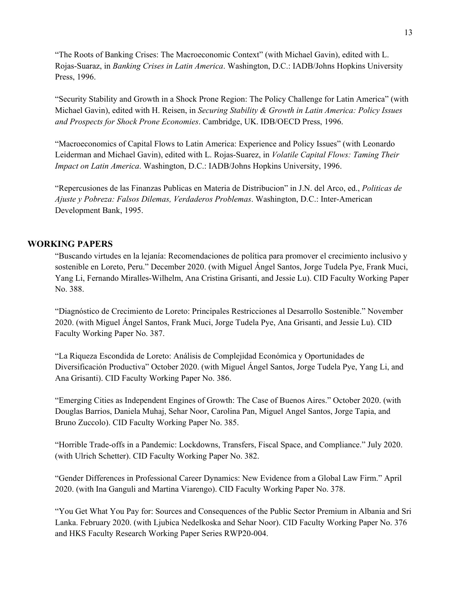"The Roots of Banking Crises: The Macroeconomic Context" (with Michael Gavin), edited with L. Rojas-Suaraz, in *Banking Crises in Latin America*. Washington, D.C.: IADB/Johns Hopkins University Press, 1996.

"Security Stability and Growth in a Shock Prone Region: The Policy Challenge for Latin America" (with Michael Gavin), edited with H. Reisen, in *Securing Stability & Growth in Latin America: Policy Issues and Prospects for Shock Prone Economies*. Cambridge, UK. IDB/OECD Press, 1996.

"Macroeconomics of Capital Flows to Latin America: Experience and Policy Issues" (with Leonardo Leiderman and Michael Gavin), edited with L. Rojas-Suarez, in *Volatile Capital Flows: Taming Their Impact on Latin America*. Washington, D.C.: IADB/Johns Hopkins University, 1996.

"Repercusiones de las Finanzas Publicas en Materia de Distribucion" in J.N. del Arco, ed., *Politicas de Ajuste y Pobreza: Falsos Dilemas, Verdaderos Problemas*. Washington, D.C.: Inter-American Development Bank, 1995.

#### **WORKING PAPERS**

"Buscando virtudes en la lejanía: Recomendaciones de política para promover el crecimiento inclusivo y sostenible en Loreto, Peru." December 2020. (with Miguel Ángel Santos, Jorge Tudela Pye, Frank Muci, Yang Li, Fernando Miralles-Wilhelm, Ana Cristina Grisanti, and Jessie Lu). CID Faculty Working Paper No. 388.

"Diagnóstico de Crecimiento de Loreto: Principales Restricciones al Desarrollo Sostenible." November 2020. (with Miguel Ángel Santos, Frank Muci, Jorge Tudela Pye, Ana Grisanti, and Jessie Lu). CID Faculty Working Paper No. 387.

"La Riqueza Escondida de Loreto: Análisis de Complejidad Económica y Oportunidades de Diversificación Productiva" October 2020. (with Miguel Ángel Santos, Jorge Tudela Pye, Yang Li, and Ana Grisanti). CID Faculty Working Paper No. 386.

"Emerging Cities as Independent Engines of Growth: The Case of Buenos Aires." October 2020. (with Douglas Barrios, Daniela Muhaj, Sehar Noor, Carolina Pan, Miguel Angel Santos, Jorge Tapia, and Bruno Zuccolo). CID Faculty Working Paper No. 385.

"Horrible Trade-offs in a Pandemic: Lockdowns, Transfers, Fiscal Space, and Compliance." July 2020. (with Ulrich Schetter). CID Faculty Working Paper No. 382.

"Gender Differences in Professional Career Dynamics: New Evidence from a Global Law Firm." April 2020. (with Ina Ganguli and Martina Viarengo). CID Faculty Working Paper No. 378.

"You Get What You Pay for: Sources and Consequences of the Public Sector Premium in Albania and Sri Lanka. February 2020. (with Ljubica Nedelkoska and Sehar Noor). CID Faculty Working Paper No. 376 and HKS Faculty Research Working Paper Series RWP20-004.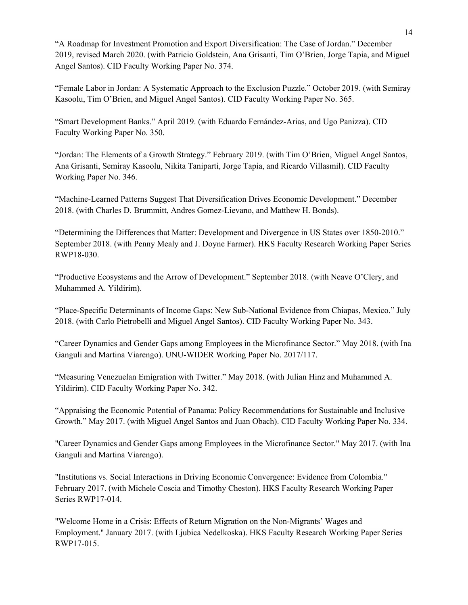"A Roadmap for Investment Promotion and Export Diversification: The Case of Jordan." December 2019, revised March 2020. (with Patricio Goldstein, Ana Grisanti, Tim O'Brien, Jorge Tapia, and Miguel Angel Santos). CID Faculty Working Paper No. 374.

"Female Labor in Jordan: A Systematic Approach to the Exclusion Puzzle." October 2019. (with Semiray Kasoolu, Tim O'Brien, and Miguel Angel Santos). CID Faculty Working Paper No. 365.

"Smart Development Banks." April 2019. (with Eduardo Fernández-Arias, and Ugo Panizza). CID Faculty Working Paper No. 350.

"Jordan: The Elements of a Growth Strategy." February 2019. (with Tim O'Brien, Miguel Angel Santos, Ana Grisanti, Semiray Kasoolu, Nikita Taniparti, Jorge Tapia, and Ricardo Villasmil). CID Faculty Working Paper No. 346.

"Machine-Learned Patterns Suggest That Diversification Drives Economic Development." December 2018. (with Charles D. Brummitt, Andres Gomez-Lievano, and Matthew H. Bonds).

"Determining the Differences that Matter: Development and Divergence in US States over 1850-2010." September 2018. (with Penny Mealy and J. Doyne Farmer). HKS Faculty Research Working Paper Series RWP18-030.

"Productive Ecosystems and the Arrow of Development." September 2018. (with Neave O'Clery, and Muhammed A. Yildirim).

"Place-Specific Determinants of Income Gaps: New Sub-National Evidence from Chiapas, Mexico." July 2018. (with Carlo Pietrobelli and Miguel Angel Santos). CID Faculty Working Paper No. 343.

"Career Dynamics and Gender Gaps among Employees in the Microfinance Sector." May 2018. (with Ina Ganguli and Martina Viarengo). UNU-WIDER Working Paper No. 2017/117.

"Measuring Venezuelan Emigration with Twitter." May 2018. (with Julian Hinz and Muhammed A. Yildirim). CID Faculty Working Paper No. 342.

"Appraising the Economic Potential of Panama: Policy Recommendations for Sustainable and Inclusive Growth." May 2017. (with Miguel Angel Santos and Juan Obach). CID Faculty Working Paper No. 334.

"Career Dynamics and Gender Gaps among Employees in the Microfinance Sector." May 2017. (with Ina Ganguli and Martina Viarengo).

"Institutions vs. Social Interactions in Driving Economic Convergence: Evidence from Colombia." February 2017. (with Michele Coscia and Timothy Cheston). HKS Faculty Research Working Paper Series RWP17-014.

"Welcome Home in a Crisis: Effects of Return Migration on the Non-Migrants' Wages and Employment." January 2017. (with Ljubica Nedelkoska). HKS Faculty Research Working Paper Series RWP17-015.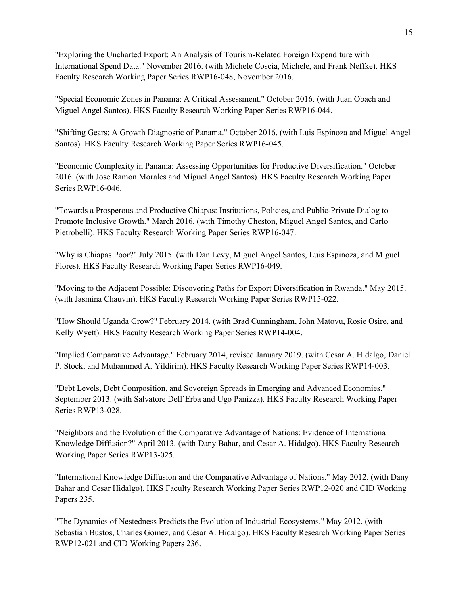"Exploring the Uncharted Export: An Analysis of Tourism-Related Foreign Expenditure with International Spend Data." November 2016. (with Michele Coscia, Michele, and Frank Neffke). HKS Faculty Research Working Paper Series RWP16-048, November 2016.

"Special Economic Zones in Panama: A Critical Assessment." October 2016. (with Juan Obach and Miguel Angel Santos). HKS Faculty Research Working Paper Series RWP16-044.

"Shifting Gears: A Growth Diagnostic of Panama." October 2016. (with Luis Espinoza and Miguel Angel Santos). HKS Faculty Research Working Paper Series RWP16-045.

"Economic Complexity in Panama: Assessing Opportunities for Productive Diversification." October 2016. (with Jose Ramon Morales and Miguel Angel Santos). HKS Faculty Research Working Paper Series RWP16-046.

"Towards a Prosperous and Productive Chiapas: Institutions, Policies, and Public-Private Dialog to Promote Inclusive Growth." March 2016. (with Timothy Cheston, Miguel Angel Santos, and Carlo Pietrobelli). HKS Faculty Research Working Paper Series RWP16-047.

"Why is Chiapas Poor?" July 2015. (with Dan Levy, Miguel Angel Santos, Luis Espinoza, and Miguel Flores). HKS Faculty Research Working Paper Series RWP16-049.

"Moving to the Adjacent Possible: Discovering Paths for Export Diversification in Rwanda." May 2015. (with Jasmina Chauvin). HKS Faculty Research Working Paper Series RWP15-022.

"How Should Uganda Grow?" February 2014. (with Brad Cunningham, John Matovu, Rosie Osire, and Kelly Wyett). HKS Faculty Research Working Paper Series RWP14-004.

"Implied Comparative Advantage." February 2014, revised January 2019. (with Cesar A. Hidalgo, Daniel P. Stock, and Muhammed A. Yildirim). HKS Faculty Research Working Paper Series RWP14-003.

"Debt Levels, Debt Composition, and Sovereign Spreads in Emerging and Advanced Economies." September 2013. (with Salvatore Dell'Erba and Ugo Panizza). HKS Faculty Research Working Paper Series RWP13-028.

"Neighbors and the Evolution of the Comparative Advantage of Nations: Evidence of International Knowledge Diffusion?" April 2013. (with Dany Bahar, and Cesar A. Hidalgo). HKS Faculty Research Working Paper Series RWP13-025.

"International Knowledge Diffusion and the Comparative Advantage of Nations." May 2012. (with Dany Bahar and Cesar Hidalgo). HKS Faculty Research Working Paper Series RWP12-020 and CID Working Papers 235.

"The Dynamics of Nestedness Predicts the Evolution of Industrial Ecosystems." May 2012. (with Sebastián Bustos, Charles Gomez, and César A. Hidalgo). HKS Faculty Research Working Paper Series RWP12-021 and CID Working Papers 236.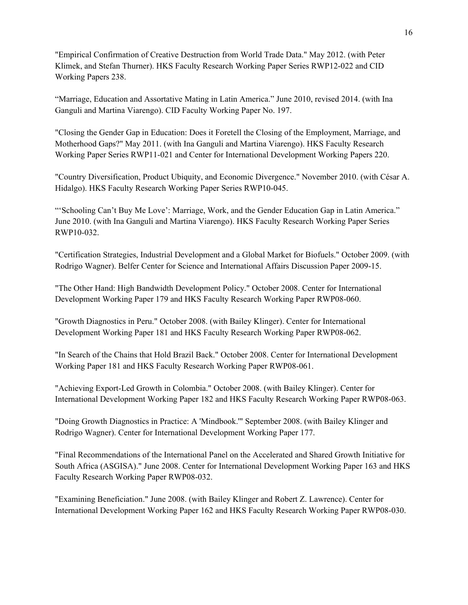"Empirical Confirmation of Creative Destruction from World Trade Data." May 2012. (with Peter Klimek, and Stefan Thurner). HKS Faculty Research Working Paper Series RWP12-022 and CID Working Papers 238.

"Marriage, Education and Assortative Mating in Latin America." June 2010, revised 2014. (with Ina Ganguli and Martina Viarengo). CID Faculty Working Paper No. 197.

"Closing the Gender Gap in Education: Does it Foretell the Closing of the Employment, Marriage, and Motherhood Gaps?" May 2011. (with Ina Ganguli and Martina Viarengo). HKS Faculty Research Working Paper Series RWP11-021 and Center for International Development Working Papers 220.

"Country Diversification, Product Ubiquity, and Economic Divergence." November 2010. (with César A. Hidalgo). HKS Faculty Research Working Paper Series RWP10-045.

"'Schooling Can't Buy Me Love': Marriage, Work, and the Gender Education Gap in Latin America." June 2010. (with Ina Ganguli and Martina Viarengo). HKS Faculty Research Working Paper Series RWP10-032.

"Certification Strategies, Industrial Development and a Global Market for Biofuels." October 2009. (with Rodrigo Wagner). Belfer Center for Science and International Affairs Discussion Paper 2009-15.

"The Other Hand: High Bandwidth Development Policy." October 2008. Center for International Development Working Paper 179 and HKS Faculty Research Working Paper RWP08-060.

"Growth Diagnostics in Peru." October 2008. (with Bailey Klinger). Center for International Development Working Paper 181 and HKS Faculty Research Working Paper RWP08-062.

"In Search of the Chains that Hold Brazil Back." October 2008. Center for International Development Working Paper 181 and HKS Faculty Research Working Paper RWP08-061.

"Achieving Export-Led Growth in Colombia." October 2008. (with Bailey Klinger). Center for International Development Working Paper 182 and HKS Faculty Research Working Paper RWP08-063.

"Doing Growth Diagnostics in Practice: A 'Mindbook.'" September 2008. (with Bailey Klinger and Rodrigo Wagner). Center for International Development Working Paper 177.

"Final Recommendations of the International Panel on the Accelerated and Shared Growth Initiative for South Africa (ASGISA)." June 2008. Center for International Development Working Paper 163 and HKS Faculty Research Working Paper RWP08-032.

"Examining Beneficiation." June 2008. (with Bailey Klinger and Robert Z. Lawrence). Center for International Development Working Paper 162 and HKS Faculty Research Working Paper RWP08-030.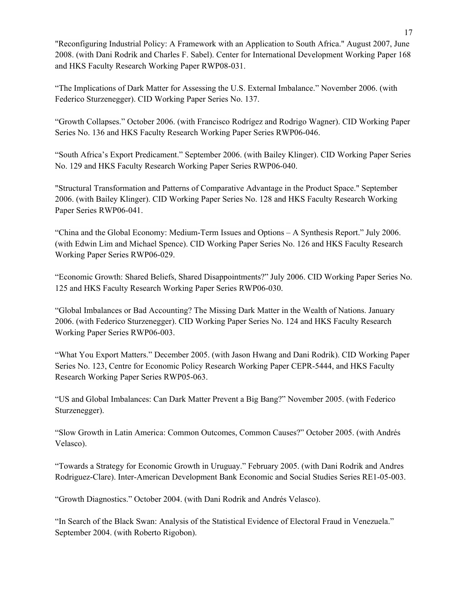"Reconfiguring Industrial Policy: A Framework with an Application to South Africa." August 2007, June 2008. (with Dani Rodrik and Charles F. Sabel). Center for International Development Working Paper 168 and HKS Faculty Research Working Paper RWP08-031.

"The Implications of Dark Matter for Assessing the U.S. External Imbalance." November 2006. (with Federico Sturzenegger). CID Working Paper Series No. 137.

"Growth Collapses." October 2006. (with Francisco Rodrígez and Rodrigo Wagner). CID Working Paper Series No. 136 and HKS Faculty Research Working Paper Series RWP06-046.

"South Africa's Export Predicament." September 2006. (with Bailey Klinger). CID Working Paper Series No. 129 and HKS Faculty Research Working Paper Series RWP06-040.

"Structural Transformation and Patterns of Comparative Advantage in the Product Space." September 2006. (with Bailey Klinger). CID Working Paper Series No. 128 and HKS Faculty Research Working Paper Series RWP06-041.

"China and the Global Economy: Medium-Term Issues and Options – A Synthesis Report." July 2006. (with Edwin Lim and Michael Spence). CID Working Paper Series No. 126 and HKS Faculty Research Working Paper Series RWP06-029.

"Economic Growth: Shared Beliefs, Shared Disappointments?" July 2006. CID Working Paper Series No. 125 and HKS Faculty Research Working Paper Series RWP06-030.

"Global Imbalances or Bad Accounting? The Missing Dark Matter in the Wealth of Nations. January 2006. (with Federico Sturzenegger). CID Working Paper Series No. 124 and HKS Faculty Research Working Paper Series RWP06-003.

"What You Export Matters." December 2005. (with Jason Hwang and Dani Rodrik). CID Working Paper Series No. 123, Centre for Economic Policy Research Working Paper CEPR-5444, and HKS Faculty Research Working Paper Series RWP05-063.

"US and Global Imbalances: Can Dark Matter Prevent a Big Bang?" November 2005. (with Federico Sturzenegger).

"Slow Growth in Latin America: Common Outcomes, Common Causes?" October 2005. (with Andrés Velasco).

"Towards a Strategy for Economic Growth in Uruguay." February 2005. (with Dani Rodrik and Andres Rodriguez-Clare). Inter-American Development Bank Economic and Social Studies Series RE1-05-003.

"Growth Diagnostics." October 2004. (with Dani Rodrik and Andrés Velasco).

"In Search of the Black Swan: Analysis of the Statistical Evidence of Electoral Fraud in Venezuela." September 2004. (with Roberto Rigobon).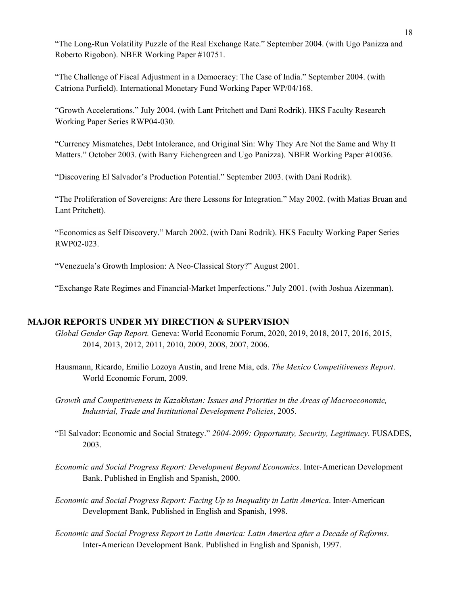"The Long-Run Volatility Puzzle of the Real Exchange Rate." September 2004. (with Ugo Panizza and Roberto Rigobon). NBER Working Paper #10751.

"The Challenge of Fiscal Adjustment in a Democracy: The Case of India." September 2004. (with Catriona Purfield). International Monetary Fund Working Paper WP/04/168.

"Growth Accelerations." July 2004. (with Lant Pritchett and Dani Rodrik). HKS Faculty Research Working Paper Series RWP04-030.

"Currency Mismatches, Debt Intolerance, and Original Sin: Why They Are Not the Same and Why It Matters." October 2003. (with Barry Eichengreen and Ugo Panizza). NBER Working Paper #10036.

"Discovering El Salvador's Production Potential." September 2003. (with Dani Rodrik).

"The Proliferation of Sovereigns: Are there Lessons for Integration." May 2002. (with Matias Bruan and Lant Pritchett).

"Economics as Self Discovery." March 2002. (with Dani Rodrik). HKS Faculty Working Paper Series RWP02-023.

"Venezuela's Growth Implosion: A Neo-Classical Story?" August 2001.

"Exchange Rate Regimes and Financial-Market Imperfections." July 2001. (with Joshua Aizenman).

#### **MAJOR REPORTS UNDER MY DIRECTION & SUPERVISION**

- *Global Gender Gap Report.* Geneva: World Economic Forum, 2020, 2019, 2018, 2017, 2016, 2015, 2014, 2013, 2012, 2011, 2010, 2009, 2008, 2007, 2006.
- Hausmann, Ricardo, Emilio Lozoya Austin, and Irene Mia, eds. *The Mexico Competitiveness Report*. World Economic Forum, 2009.
- *Growth and Competitiveness in Kazakhstan: Issues and Priorities in the Areas of Macroeconomic, Industrial, Trade and Institutional Development Policies*, 2005.
- "El Salvador: Economic and Social Strategy." *2004-2009: Opportunity, Security, Legitimacy*. FUSADES, 2003.
- *Economic and Social Progress Report: Development Beyond Economics*. Inter-American Development Bank. Published in English and Spanish, 2000.
- *Economic and Social Progress Report: Facing Up to Inequality in Latin America*. Inter-American Development Bank, Published in English and Spanish, 1998.
- *Economic and Social Progress Report in Latin America: Latin America after a Decade of Reforms*. Inter-American Development Bank. Published in English and Spanish, 1997.